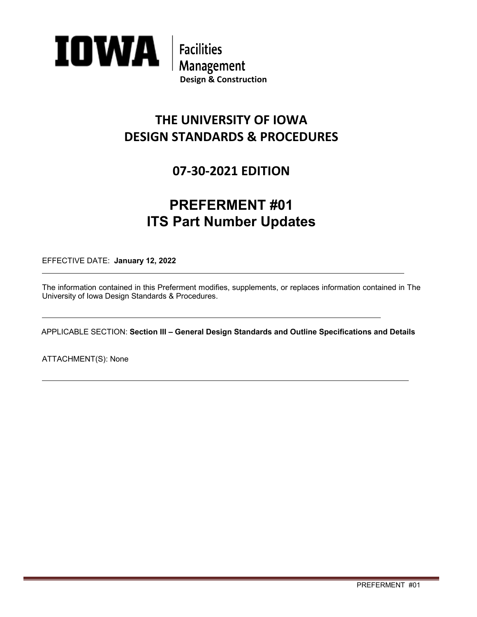

## **THE UNIVERSITY OF IOWA DESIGN STANDARDS & PROCEDURES**

### **07-30-2021 EDITION**

# **PREFERMENT #01 ITS Part Number Updates**

EFFECTIVE DATE: **January 12, 2022**

The information contained in this Preferment modifies, supplements, or replaces information contained in The University of Iowa Design Standards & Procedures.

APPLICABLE SECTION: **Section III – General Design Standards and Outline Specifications and Details** 

ATTACHMENT(S): None

 $\overline{a}$ 

 $\overline{a}$ 

 $\overline{a}$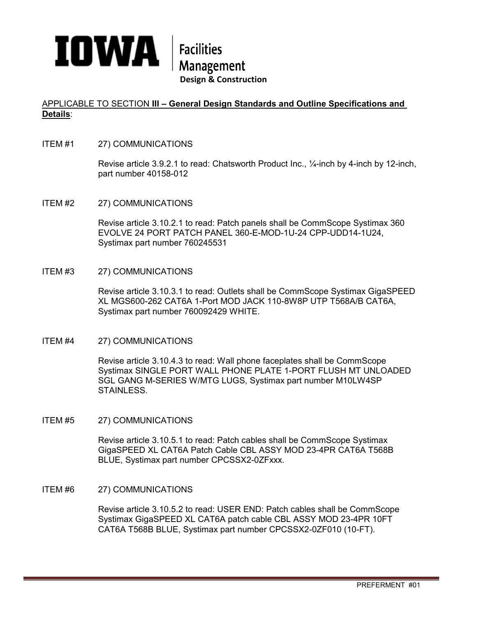

#### APPLICABLE TO SECTION **III – General Design Standards and Outline Specifications and Details**:

ITEM #1 27) COMMUNICATIONS

Revise article 3.9.2.1 to read: Chatsworth Product Inc., ¼-inch by 4-inch by 12-inch, part number 40158-012

ITEM #2 27) COMMUNICATIONS

Revise article 3.10.2.1 to read: Patch panels shall be CommScope Systimax 360 EVOLVE 24 PORT PATCH PANEL 360-E-MOD-1U-24 CPP-UDD14-1U24, Systimax part number 760245531

ITEM #3 27) COMMUNICATIONS

Revise article 3.10.3.1 to read: Outlets shall be CommScope Systimax GigaSPEED XL MGS600-262 CAT6A 1-Port MOD JACK 110-8W8P UTP T568A/B CAT6A, Systimax part number 760092429 WHITE.

#### ITEM #4 27) COMMUNICATIONS

Revise article 3.10.4.3 to read: Wall phone faceplates shall be CommScope Systimax SINGLE PORT WALL PHONE PLATE 1-PORT FLUSH MT UNLOADED SGL GANG M-SERIES W/MTG LUGS, Systimax part number M10LW4SP STAINLESS.

ITEM #5 27) COMMUNICATIONS

Revise article 3.10.5.1 to read: Patch cables shall be CommScope Systimax GigaSPEED XL CAT6A Patch Cable CBL ASSY MOD 23-4PR CAT6A T568B BLUE, Systimax part number CPCSSX2-0ZFxxx.

ITEM #6 27) COMMUNICATIONS

Revise article 3.10.5.2 to read: USER END: Patch cables shall be CommScope Systimax GigaSPEED XL CAT6A patch cable CBL ASSY MOD 23-4PR 10FT CAT6A T568B BLUE, Systimax part number CPCSSX2-0ZF010 (10-FT).